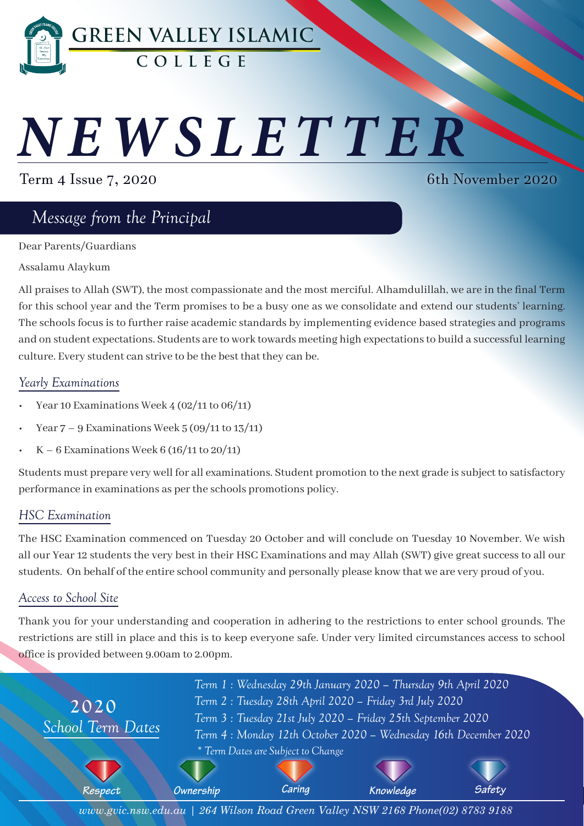

# *NEWSLETTER*

Term 4 Issue 7, 2020

6th November 2020

# *Message from the Principal*

Dear Parents/Guardians

#### Assalamu Alaykum

All praises to Allah (SWT), the most compassionate and the most merciful. Alhamdulillah, we are in the final Term for this school year and the Term promises to be a busy one as we consolidate and extend our students' learning. The schools focus is to further raise academic standards by implementing evidence based strategies and programs and on student expectations. Students are to work towards meeting high expectations to build a successful learning culture. Every student can strive to be the best that they can be.

#### *Yearly Examinations*

- Year 10 Examinations Week 4 (02/11 to 06/11)
- Year  $7 9$  Examinations Week  $5(09/11$  to  $13/11)$
- $K 6$  Examinations Week 6 (16/11 to 20/11)

Students must prepare very well for all examinations. Student promotion to the next grade is subject to satisfactory performance in examinations as per the schools promotions policy.

#### *HSC Examination*

The HSC Examination commenced on Tuesday 20 October and will conclude on Tuesday 10 November. We wish all our Year 12 students the very best in their HSC Examinations and may Allah (SWT) give great success to all our students. On behalf of the entire school community and personally please know that we are very proud of you.

#### *Access to School Site*

Thank you for your understanding and cooperation in adhering to the restrictions to enter school grounds. The restrictions are still in place and this is to keep everyone safe. Under very limited circumstances access to school office is provided between 9.00am to 2.00pm.



*www.gvic.nsw.edu.au | 264 Wilson Road Green Valley NSW 2168 Phone(02) 8783 9188*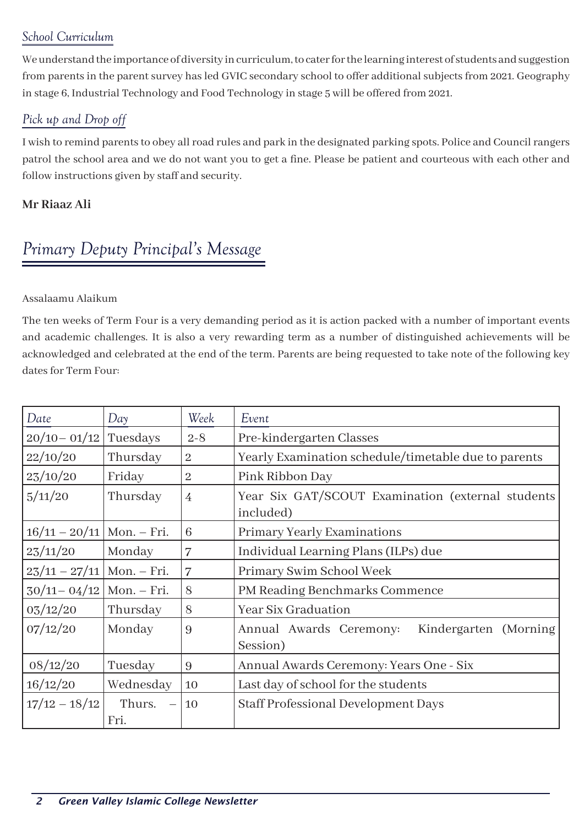## *School Curriculum*

We understand the importance of diversity in curriculum, to cater for the learning interest of students and suggestion from parents in the parent survey has led GVIC secondary school to offer additional subjects from 2021. Geography in stage 6, Industrial Technology and Food Technology in stage 5 will be offered from 2021.

## *Pick up and Drop off*

I wish to remind parents to obey all road rules and park in the designated parking spots. Police and Council rangers patrol the school area and we do not want you to get a fine. Please be patient and courteous with each other and follow instructions given by staff and security.

#### **Mr Riaaz Ali**

# *Primary Deputy Principal's Message*

#### Assalaamu Alaikum

The ten weeks of Term Four is a very demanding period as it is action packed with a number of important events and academic challenges. It is also a very rewarding term as a number of distinguished achievements will be acknowledged and celebrated at the end of the term. Parents are being requested to take note of the following key dates for Term Four:

| Date                        | Day                                        | Week           | Event                                                          |
|-----------------------------|--------------------------------------------|----------------|----------------------------------------------------------------|
| $20/10 - 01/12$             | Tuesdays                                   | $2 - 8$        | Pre-kindergarten Classes                                       |
| 22/10/20                    | Thursday                                   | $\sqrt{2}$     | Yearly Examination schedule/timetable due to parents           |
| 23/10/20                    | Friday                                     | $\overline{2}$ | Pink Ribbon Day                                                |
| 5/11/20                     | Thursday                                   | $\overline{4}$ | Year Six GAT/SCOUT Examination (external students<br>included) |
| $16/11 - 20/11$ Mon. - Fri. |                                            | 6              | <b>Primary Yearly Examinations</b>                             |
| 23/11/20                    | Monday                                     | 7              | Individual Learning Plans (ILPs) due                           |
| $23/11 - 27/11$ Mon. – Fri. |                                            | 7              | Primary Swim School Week                                       |
| $30/11 - 04/12$ Mon. – Fri. |                                            | 8              | PM Reading Benchmarks Commence                                 |
| 03/12/20                    | Thursday                                   | 8              | <b>Year Six Graduation</b>                                     |
| 07/12/20                    | Monday                                     | 9              | Annual Awards Ceremony:<br>Kindergarten (Morning)<br>Session)  |
| 08/12/20                    | Tuesday                                    | 9              | Annual Awards Ceremony: Years One - Six                        |
| 16/12/20                    | Wednesday                                  | 10             | Last day of school for the students                            |
| $17/12 - 18/12$             | Thurs.<br>$\overline{\phantom{m}}$<br>Fri. | <sup>10</sup>  | Staff Professional Development Days                            |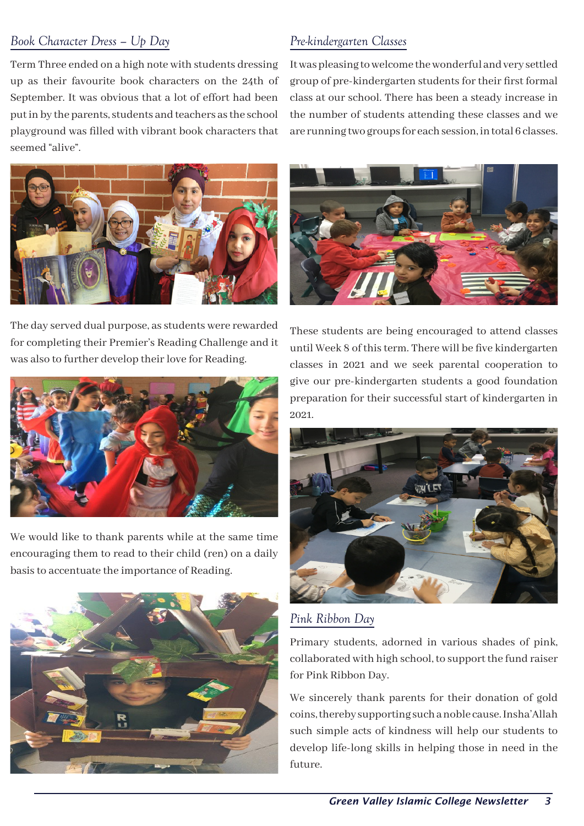#### *Book Character Dress – Up Day*

Term Three ended on a high note with students dressing up as their favourite book characters on the 24th of September. It was obvious that a lot of effort had been put in by the parents, students and teachers as the school playground was filled with vibrant book characters that seemed "alive".

## *Pre-kindergarten Classes*

It was pleasing to welcome the wonderful and very settled group of pre-kindergarten students for their first formal class at our school. There has been a steady increase in the number of students attending these classes and we are running two groups for each session, in total 6 classes.



The day served dual purpose, as students were rewarded for completing their Premier's Reading Challenge and it was also to further develop their love for Reading.



We would like to thank parents while at the same time encouraging them to read to their child (ren) on a daily basis to accentuate the importance of Reading.





These students are being encouraged to attend classes until Week 8 of this term. There will be five kindergarten classes in 2021 and we seek parental cooperation to give our pre-kindergarten students a good foundation preparation for their successful start of kindergarten in 2021.



*Pink Ribbon Day*

Primary students, adorned in various shades of pink, collaborated with high school, to support the fund raiser for Pink Ribbon Day.

We sincerely thank parents for their donation of gold coins, thereby supporting such a noble cause. Insha'Allah such simple acts of kindness will help our students to develop life-long skills in helping those in need in the future.